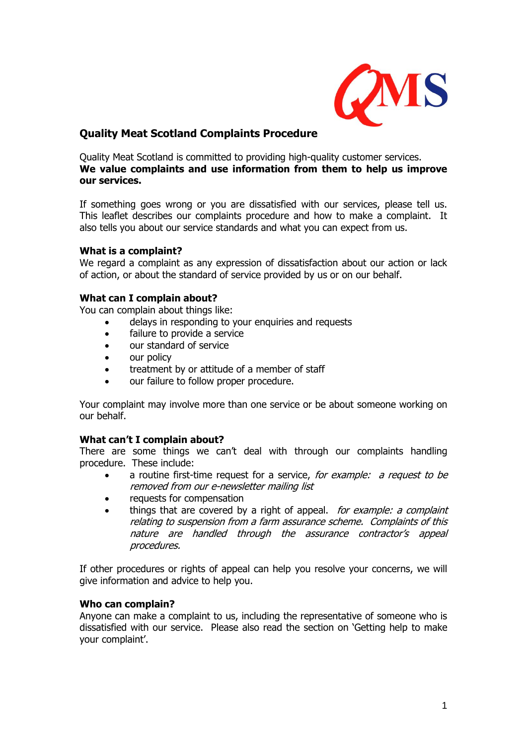

# **Quality Meat Scotland Complaints Procedure**

Quality Meat Scotland is committed to providing high-quality customer services. **We value complaints and use information from them to help us improve our services.**

If something goes wrong or you are dissatisfied with our services, please tell us. This leaflet describes our complaints procedure and how to make a complaint. It also tells you about our service standards and what you can expect from us.

# **What is a complaint?**

We regard a complaint as any expression of dissatisfaction about our action or lack of action, or about the standard of service provided by us or on our behalf.

# **What can I complain about?**

You can complain about things like:

- delays in responding to your enquiries and requests
- failure to provide a service
- our standard of service
- our policy
- treatment by or attitude of a member of staff
- our failure to follow proper procedure.

Your complaint may involve more than one service or be about someone working on our behalf.

#### **What can't I complain about?**

There are some things we can't deal with through our complaints handling procedure. These include:

- a routine first-time request for a service, for example: a request to be removed from our e-newsletter mailing list
- requests for compensation
- things that are covered by a right of appeal. *for example: a complaint* relating to suspension from a farm assurance scheme. Complaints of this nature are handled through the assurance contractor's appeal procedures.

If other procedures or rights of appeal can help you resolve your concerns, we will give information and advice to help you.

#### **Who can complain?**

Anyone can make a complaint to us, including the representative of someone who is dissatisfied with our service. Please also read the section on 'Getting help to make your complaint'.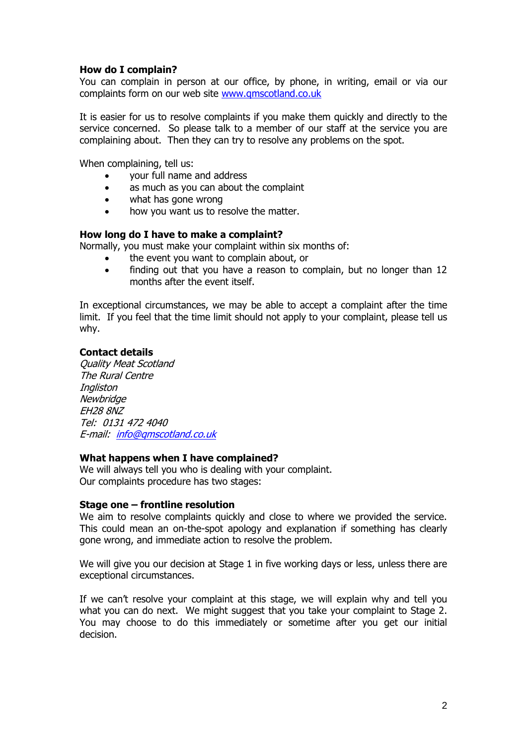# **How do I complain?**

You can complain in person at our office, by phone, in writing, email or via our complaints form on our web site [www.qmscotland.co.uk](http://www.qmscotland.co.uk/)

It is easier for us to resolve complaints if you make them quickly and directly to the service concerned. So please talk to a member of our staff at the service you are complaining about. Then they can try to resolve any problems on the spot.

When complaining, tell us:

- your full name and address
- as much as you can about the complaint
- what has gone wrong
- how you want us to resolve the matter.

#### **How long do I have to make a complaint?**

Normally, you must make your complaint within six months of:

- the event you want to complain about, or
- finding out that you have a reason to complain, but no longer than 12 months after the event itself.

In exceptional circumstances, we may be able to accept a complaint after the time limit. If you feel that the time limit should not apply to your complaint, please tell us why.

#### **Contact details**

Quality Meat Scotland The Rural Centre Ingliston **Newbridge** EH28 8NZ Tel: 0131 472 4040 E-mail: [info@qmscotland.co.uk](mailto:info@qmscotland.co.uk)

#### **What happens when I have complained?**

We will always tell you who is dealing with your complaint. Our complaints procedure has two stages:

#### **Stage one – frontline resolution**

We aim to resolve complaints quickly and close to where we provided the service. This could mean an on-the-spot apology and explanation if something has clearly gone wrong, and immediate action to resolve the problem.

We will give you our decision at Stage 1 in five working days or less, unless there are exceptional circumstances.

If we can't resolve your complaint at this stage, we will explain why and tell you what you can do next. We might suggest that you take your complaint to Stage 2. You may choose to do this immediately or sometime after you get our initial decision.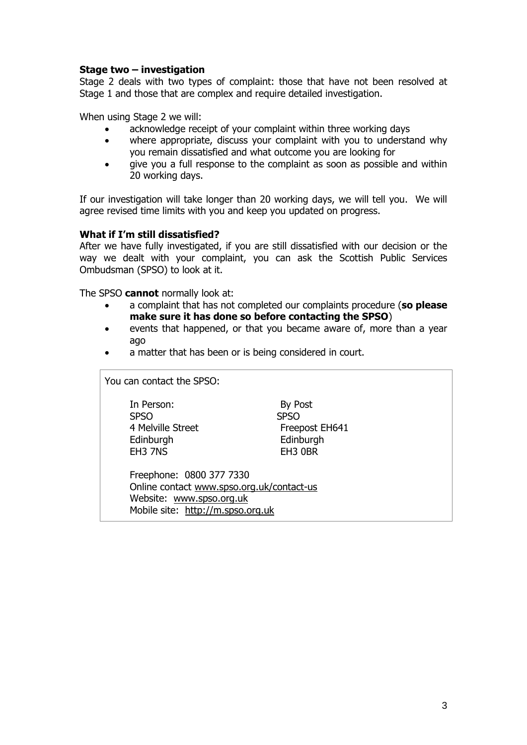#### **Stage two – investigation**

Stage 2 deals with two types of complaint: those that have not been resolved at Stage 1 and those that are complex and require detailed investigation.

When using Stage 2 we will:

- acknowledge receipt of your complaint within three working days
- where appropriate, discuss your complaint with you to understand why you remain dissatisfied and what outcome you are looking for
- give you a full response to the complaint as soon as possible and within 20 working days.

If our investigation will take longer than 20 working days, we will tell you. We will agree revised time limits with you and keep you updated on progress.

#### **What if I'm still dissatisfied?**

After we have fully investigated, if you are still dissatisfied with our decision or the way we dealt with your complaint, you can ask the Scottish Public Services Ombudsman (SPSO) to look at it.

The SPSO **cannot** normally look at:

- a complaint that has not completed our complaints procedure (**so please make sure it has done so before contacting the SPSO**)
- events that happened, or that you became aware of, more than a year ago
- a matter that has been or is being considered in court.

You can contact the SPSO: In Person: By Post SPSO SPSO 4 Melville Street Freepost EH641 Edinburgh Edinburgh EH3 7NS EH3 0BR Freephone: 0800 377 7330 Online contact [www.spso.org.uk/contact-us](http://www.spso.org.uk/contact-us) Website: [www.spso.org.uk](http://www.spso.org.uk/) Mobile site: [http://m.spso.org.uk](http://m.spso.org.uk/)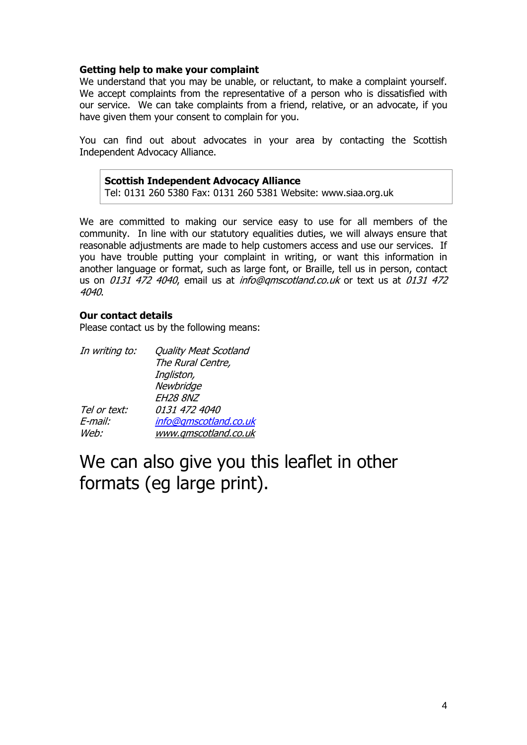# **Getting help to make your complaint**

We understand that you may be unable, or reluctant, to make a complaint yourself. We accept complaints from the representative of a person who is dissatisfied with our service. We can take complaints from a friend, relative, or an advocate, if you have given them your consent to complain for you.

You can find out about advocates in your area by contacting the Scottish Independent Advocacy Alliance.

#### **Scottish Independent Advocacy Alliance** Tel: 0131 260 5380 Fax: 0131 260 5381 Website: www.siaa.org.uk

We are committed to making our service easy to use for all members of the community. In line with our statutory equalities duties, we will always ensure that reasonable adjustments are made to help customers access and use our services. If you have trouble putting your complaint in writing, or want this information in another language or format, such as large font, or Braille, tell us in person, contact us on 0131 472 4040, email us at *info@gmscotland.co.uk* or text us at 0131 472 4040.

# **Our contact details**

Please contact us by the following means:

| In writing to: | <b>Quality Meat Scotland</b> |
|----------------|------------------------------|
|                | The Rural Centre,            |
|                | Ingliston,                   |
|                | Newbridge                    |
|                | <b>EH28 8NZ</b>              |
| Tel or text:   | 0131 472 4040                |
| E-mail:        | info@gmscotland.co.uk        |
| Web:           | www.gmscotland.co.uk         |

# We can also give you this leaflet in other formats (eg large print).